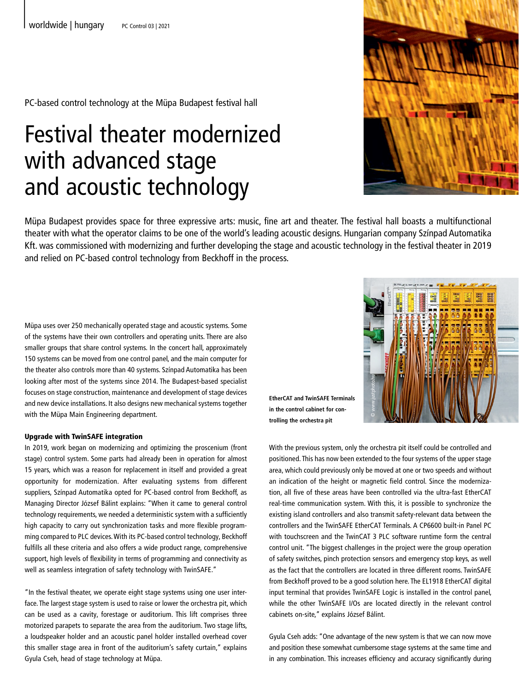PC-based control technology at the Müpa Budapest festival hall

## Festival theater modernized with advanced stage and acoustic technology



Müpa Budapest provides space for three expressive arts: music, fine art and theater. The festival hall boasts a multifunctional theater with what the operator claims to be one of the world's leading acoustic designs. Hungarian company Színpad Automatika Kft. was commissioned with modernizing and further developing the stage and acoustic technology in the festival theater in 2019 and relied on PC-based control technology from Beckhoff in the process.

Müpa uses over 250 mechanically operated stage and acoustic systems. Some of the systems have their own controllers and operating units. There are also smaller groups that share control systems. In the concert hall, approximately 150 systems can be moved from one control panel, and the main computer for the theater also controls more than 40 systems. Színpad Automatika has been looking after most of the systems since 2014. The Budapest-based specialist focuses on stage construction, maintenance and development of stage devices and new device installations. It also designs new mechanical systems together with the Müpa Main Engineering department.

## Upgrade with TwinSAFE integration

In 2019, work began on modernizing and optimizing the proscenium (front stage) control system. Some parts had already been in operation for almost 15 years, which was a reason for replacement in itself and provided a great opportunity for modernization. After evaluating systems from different suppliers, Színpad Automatika opted for PC-based control from Beckhoff, as Managing Director József Bálint explains: "When it came to general control technology requirements, we needed a deterministic system with a sufficiently high capacity to carry out synchronization tasks and more flexible programming compared to PLC devices. With its PC-based control technology, Beckhoff fulfills all these criteria and also offers a wide product range, comprehensive support, high levels of flexibility in terms of programming and connectivity as well as seamless integration of safety technology with TwinSAFE."

"In the festival theater, we operate eight stage systems using one user interface. The largest stage system is used to raise or lower the orchestra pit, which can be used as a cavity, forestage or auditorium. This lift comprises three motorized parapets to separate the area from the auditorium. Two stage lifts, a loudspeaker holder and an acoustic panel holder installed overhead cover this smaller stage area in front of the auditorium's safety curtain," explains Gyula Cseh, head of stage technology at Müpa.



**EtherCAT and TwinSAFE Terminals in the control cabinet for controlling the orchestra pit**

With the previous system, only the orchestra pit itself could be controlled and positioned. This has now been extended to the four systems of the upper stage area, which could previously only be moved at one or two speeds and without an indication of the height or magnetic field control. Since the modernization, all five of these areas have been controlled via the ultra-fast EtherCAT real-time communication system. With this, it is possible to synchronize the existing island controllers and also transmit safety-relevant data between the controllers and the TwinSAFE EtherCAT Terminals. A CP6600 built-in Panel PC with touchscreen and the TwinCAT 3 PLC software runtime form the central control unit. "The biggest challenges in the project were the group operation of safety switches, pinch protection sensors and emergency stop keys, as well as the fact that the controllers are located in three different rooms. TwinSAFE from Beckhoff proved to be a good solution here. The EL1918 EtherCAT digital input terminal that provides TwinSAFE Logic is installed in the control panel, while the other TwinSAFE I/Os are located directly in the relevant control cabinets on-site," explains József Bálint.

Gyula Cseh adds: "One advantage of the new system is that we can now move and position these somewhat cumbersome stage systems at the same time and in any combination. This increases efficiency and accuracy significantly during